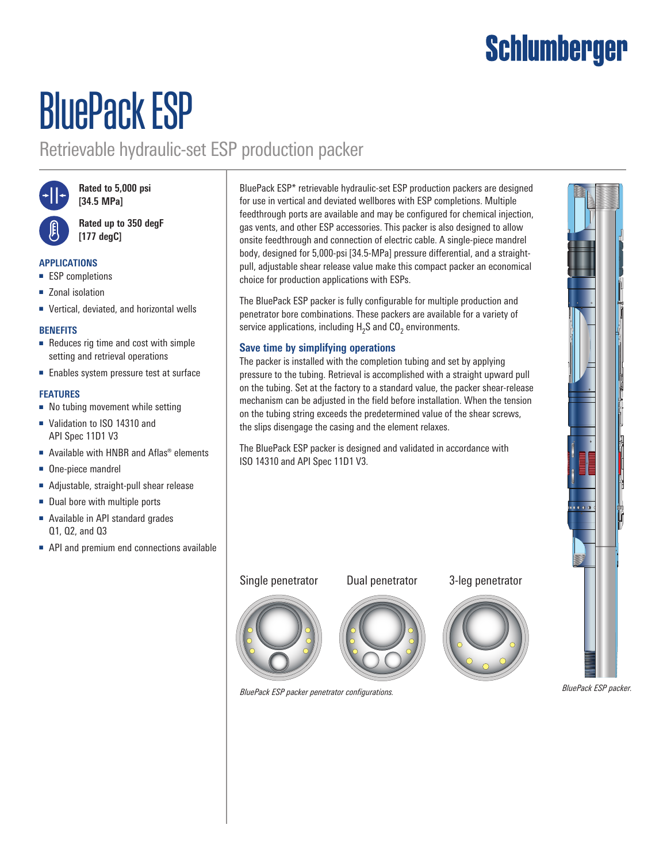## Schlumberger

# BluePack ESP

### Retrievable hydraulic-set ESP production packer



**Rated to 5,000 psi [34.5 MPa]**

**Rated up to 350 degF [177 degC]**

#### **APPLICATIONS**

- ESP completions
- Zonal isolation
- Vertical, deviated, and horizontal wells

#### **BENEFITS**

- Reduces rig time and cost with simple setting and retrieval operations
- Enables system pressure test at surface

#### **FEATURES**

- No tubing movement while setting
- Validation to ISO 14310 and API Spec 11D1 V3
- Available with HNBR and Aflas<sup>®</sup> elements
- One-piece mandrel
- Adjustable, straight-pull shear release
- Dual bore with multiple ports
- Available in API standard grades Q1, Q2, and Q3
- API and premium end connections available

BluePack ESP\* retrievable hydraulic-set ESP production packers are designed for use in vertical and deviated wellbores with ESP completions. Multiple feedthrough ports are available and may be configured for chemical injection, gas vents, and other ESP accessories. This packer is also designed to allow onsite feedthrough and connection of electric cable. A single-piece mandrel body, designed for 5,000-psi [34.5-MPa] pressure differential, and a straightpull, adjustable shear release value make this compact packer an economical choice for production applications with ESPs.

The BluePack ESP packer is fully configurable for multiple production and penetrator bore combinations. These packers are available for a variety of service applications, including  $\textsf{H}_{\textsf{2}}\textsf{S}$  and CO $_{\textsf{2}}$  environments.

#### **Save time by simplifying operations**

The packer is installed with the completion tubing and set by applying pressure to the tubing. Retrieval is accomplished with a straight upward pull on the tubing. Set at the factory to a standard value, the packer shear-release mechanism can be adjusted in the field before installation. When the tension on the tubing string exceeds the predetermined value of the shear screws, the slips disengage the casing and the element relaxes.

The BluePack ESP packer is designed and validated in accordance with ISO 14310 and API Spec 11D1 V3.

#### Single penetrator



3-leg penetrator





BluePack ESP packer penetrator configurations. **BlueFack ESP packer penetrator configuration**s.